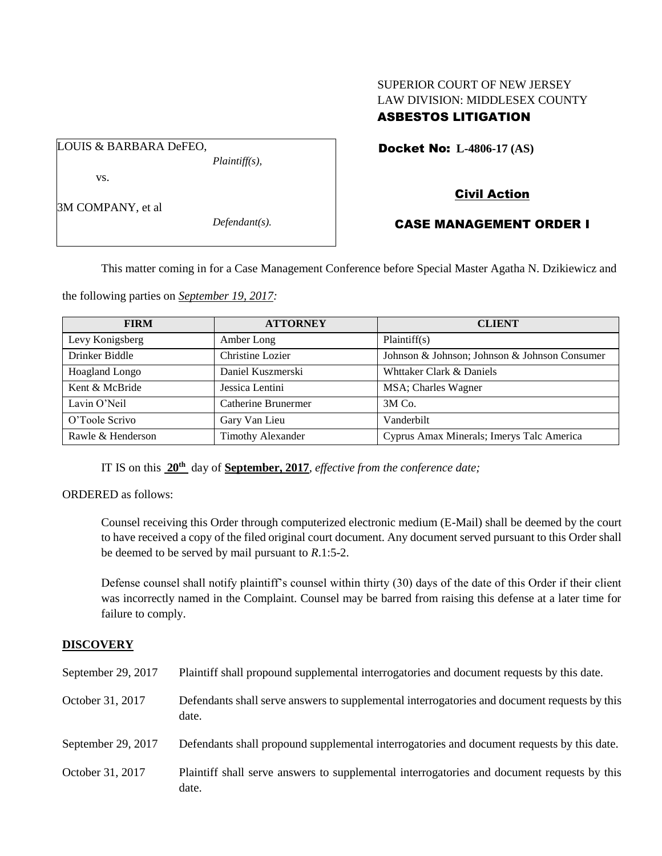# SUPERIOR COURT OF NEW JERSEY LAW DIVISION: MIDDLESEX COUNTY ASBESTOS LITIGATION

Docket No: **L-4806-17 (AS)** 

vs.

3M COMPANY, et al

LOUIS & BARBARA DeFEO,

*Defendant(s).*

*Plaintiff(s),*

# Civil Action

# CASE MANAGEMENT ORDER I

This matter coming in for a Case Management Conference before Special Master Agatha N. Dzikiewicz and

the following parties on *September 19, 2017:*

| <b>FIRM</b>       | <b>ATTORNEY</b>          | <b>CLIENT</b>                                 |
|-------------------|--------------------------|-----------------------------------------------|
| Levy Konigsberg   | Amber Long               | Plaintiff(s)                                  |
| Drinker Biddle    | Christine Lozier         | Johnson & Johnson; Johnson & Johnson Consumer |
| Hoagland Longo    | Daniel Kuszmerski        | Whttaker Clark & Daniels                      |
| Kent & McBride    | Jessica Lentini          | MSA; Charles Wagner                           |
| Lavin O'Neil      | Catherine Brunermer      | 3M Co.                                        |
| O'Toole Scrivo    | Gary Van Lieu            | Vanderbilt                                    |
| Rawle & Henderson | <b>Timothy Alexander</b> | Cyprus Amax Minerals; Imerys Talc America     |

IT IS on this **20th** day of **September, 2017**, *effective from the conference date;*

ORDERED as follows:

Counsel receiving this Order through computerized electronic medium (E-Mail) shall be deemed by the court to have received a copy of the filed original court document. Any document served pursuant to this Order shall be deemed to be served by mail pursuant to *R*.1:5-2.

Defense counsel shall notify plaintiff's counsel within thirty (30) days of the date of this Order if their client was incorrectly named in the Complaint. Counsel may be barred from raising this defense at a later time for failure to comply.

## **DISCOVERY**

| September 29, 2017 | Plaintiff shall propound supplemental interrogatories and document requests by this date.             |
|--------------------|-------------------------------------------------------------------------------------------------------|
| October 31, 2017   | Defendants shall serve answers to supplemental interrogatories and document requests by this<br>date. |
| September 29, 2017 | Defendants shall propound supplemental interrogatories and document requests by this date.            |
| October 31, 2017   | Plaintiff shall serve answers to supplemental interrogatories and document requests by this<br>date.  |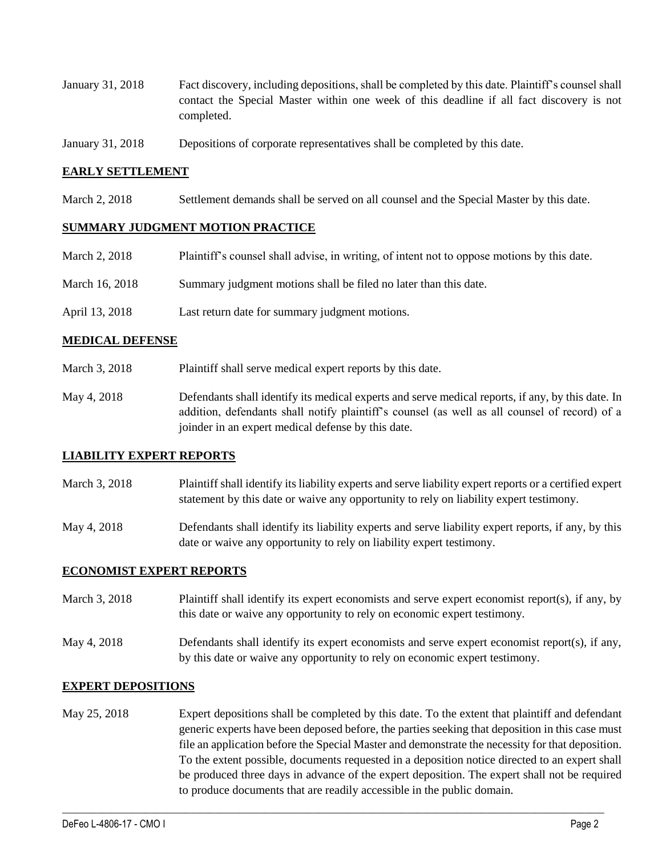- January 31, 2018 Fact discovery, including depositions, shall be completed by this date. Plaintiff's counsel shall contact the Special Master within one week of this deadline if all fact discovery is not completed.
- January 31, 2018 Depositions of corporate representatives shall be completed by this date.

#### **EARLY SETTLEMENT**

March 2, 2018 Settlement demands shall be served on all counsel and the Special Master by this date.

#### **SUMMARY JUDGMENT MOTION PRACTICE**

| March 2, 2018  | Plaintiff's counsel shall advise, in writing, of intent not to oppose motions by this date. |
|----------------|---------------------------------------------------------------------------------------------|
| March 16, 2018 | Summary judgment motions shall be filed no later than this date.                            |
| April 13, 2018 | Last return date for summary judgment motions.                                              |

#### **MEDICAL DEFENSE**

- March 3, 2018 Plaintiff shall serve medical expert reports by this date.
- May 4, 2018 Defendants shall identify its medical experts and serve medical reports, if any, by this date. In addition, defendants shall notify plaintiff's counsel (as well as all counsel of record) of a joinder in an expert medical defense by this date.

#### **LIABILITY EXPERT REPORTS**

- March 3, 2018 Plaintiff shall identify its liability experts and serve liability expert reports or a certified expert statement by this date or waive any opportunity to rely on liability expert testimony.
- May 4, 2018 Defendants shall identify its liability experts and serve liability expert reports, if any, by this date or waive any opportunity to rely on liability expert testimony.

## **ECONOMIST EXPERT REPORTS**

- March 3, 2018 Plaintiff shall identify its expert economists and serve expert economist report(s), if any, by this date or waive any opportunity to rely on economic expert testimony.
- May 4, 2018 Defendants shall identify its expert economists and serve expert economist report(s), if any, by this date or waive any opportunity to rely on economic expert testimony.

#### **EXPERT DEPOSITIONS**

May 25, 2018 Expert depositions shall be completed by this date. To the extent that plaintiff and defendant generic experts have been deposed before, the parties seeking that deposition in this case must file an application before the Special Master and demonstrate the necessity for that deposition. To the extent possible, documents requested in a deposition notice directed to an expert shall be produced three days in advance of the expert deposition. The expert shall not be required to produce documents that are readily accessible in the public domain.

 $\_$  ,  $\_$  ,  $\_$  ,  $\_$  ,  $\_$  ,  $\_$  ,  $\_$  ,  $\_$  ,  $\_$  ,  $\_$  ,  $\_$  ,  $\_$  ,  $\_$  ,  $\_$  ,  $\_$  ,  $\_$  ,  $\_$  ,  $\_$  ,  $\_$  ,  $\_$  ,  $\_$  ,  $\_$  ,  $\_$  ,  $\_$  ,  $\_$  ,  $\_$  ,  $\_$  ,  $\_$  ,  $\_$  ,  $\_$  ,  $\_$  ,  $\_$  ,  $\_$  ,  $\_$  ,  $\_$  ,  $\_$  ,  $\_$  ,